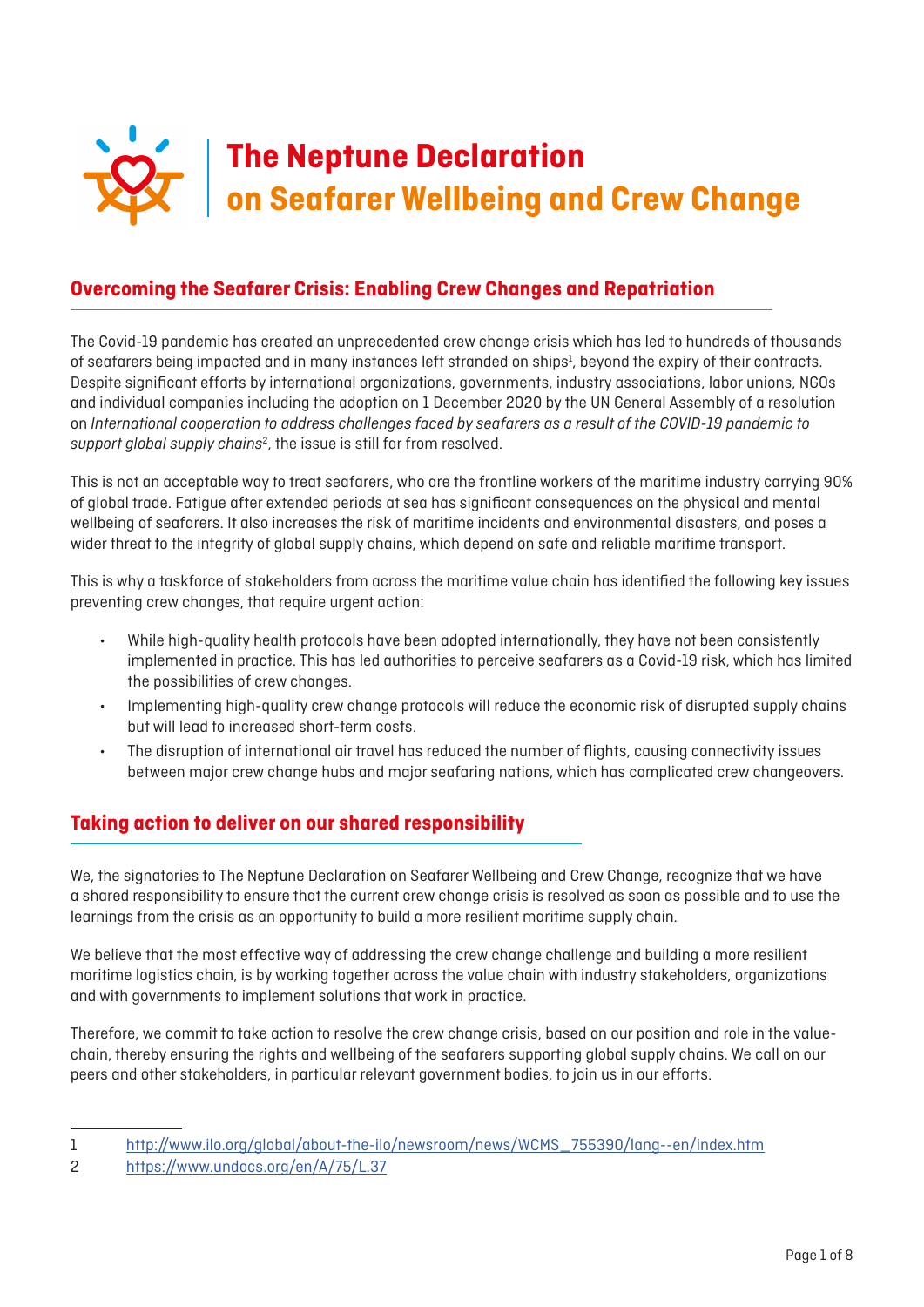

# **Overcoming the Seafarer Crisis: Enabling Crew Changes and Repatriation**

The Covid-19 pandemic has created an unprecedented crew change crisis which has led to hundreds of thousands of seafarers being impacted and in many instances left stranded on ships<sup>1</sup>, beyond the expiry of their contracts. Despite significant efforts by international organizations, governments, industry associations, labor unions, NGOs and individual companies including the adoption on 1 December 2020 by the UN General Assembly of a resolution on *International cooperation to address challenges faced by seafarers as a result of the COVID-19 pandemic to*  support global supply chains<sup>2</sup>, the issue is still far from resolved.

This is not an acceptable way to treat seafarers, who are the frontline workers of the maritime industry carrying 90% of global trade. Fatigue after extended periods at sea has significant consequences on the physical and mental wellbeing of seafarers. It also increases the risk of maritime incidents and environmental disasters, and poses a wider threat to the integrity of global supply chains, which depend on safe and reliable maritime transport.

This is why a taskforce of stakeholders from across the maritime value chain has identified the following key issues preventing crew changes, that require urgent action:

- While high-quality health protocols have been adopted internationally, they have not been consistently implemented in practice. This has led authorities to perceive seafarers as a Covid-19 risk, which has limited the possibilities of crew changes.
- Implementing high-quality crew change protocols will reduce the economic risk of disrupted supply chains but will lead to increased short-term costs.
- The disruption of international air travel has reduced the number of flights, causing connectivity issues between major crew change hubs and major seafaring nations, which has complicated crew changeovers.

# **Taking action to deliver on our shared responsibility**

We, the signatories to The Neptune Declaration on Seafarer Wellbeing and Crew Change, recognize that we have a shared responsibility to ensure that the current crew change crisis is resolved as soon as possible and to use the learnings from the crisis as an opportunity to build a more resilient maritime supply chain.

We believe that the most effective way of addressing the crew change challenge and building a more resilient maritime logistics chain, is by working together across the value chain with industry stakeholders, organizations and with governments to implement solutions that work in practice.

Therefore, we commit to take action to resolve the crew change crisis, based on our position and role in the valuechain, thereby ensuring the rights and wellbeing of the seafarers supporting global supply chains. We call on our peers and other stakeholders, in particular relevant government bodies, to join us in our efforts.

<sup>1</sup> [http://www.ilo.org/global/about-the-ilo/newsroom/news/WCMS\\_755390/lang--en/index.htm](http://www.ilo.org/global/about-the-ilo/newsroom/news/WCMS_755390/lang--en/index.htm)

<sup>2</sup> <https://www.undocs.org/en/A/75/L.37>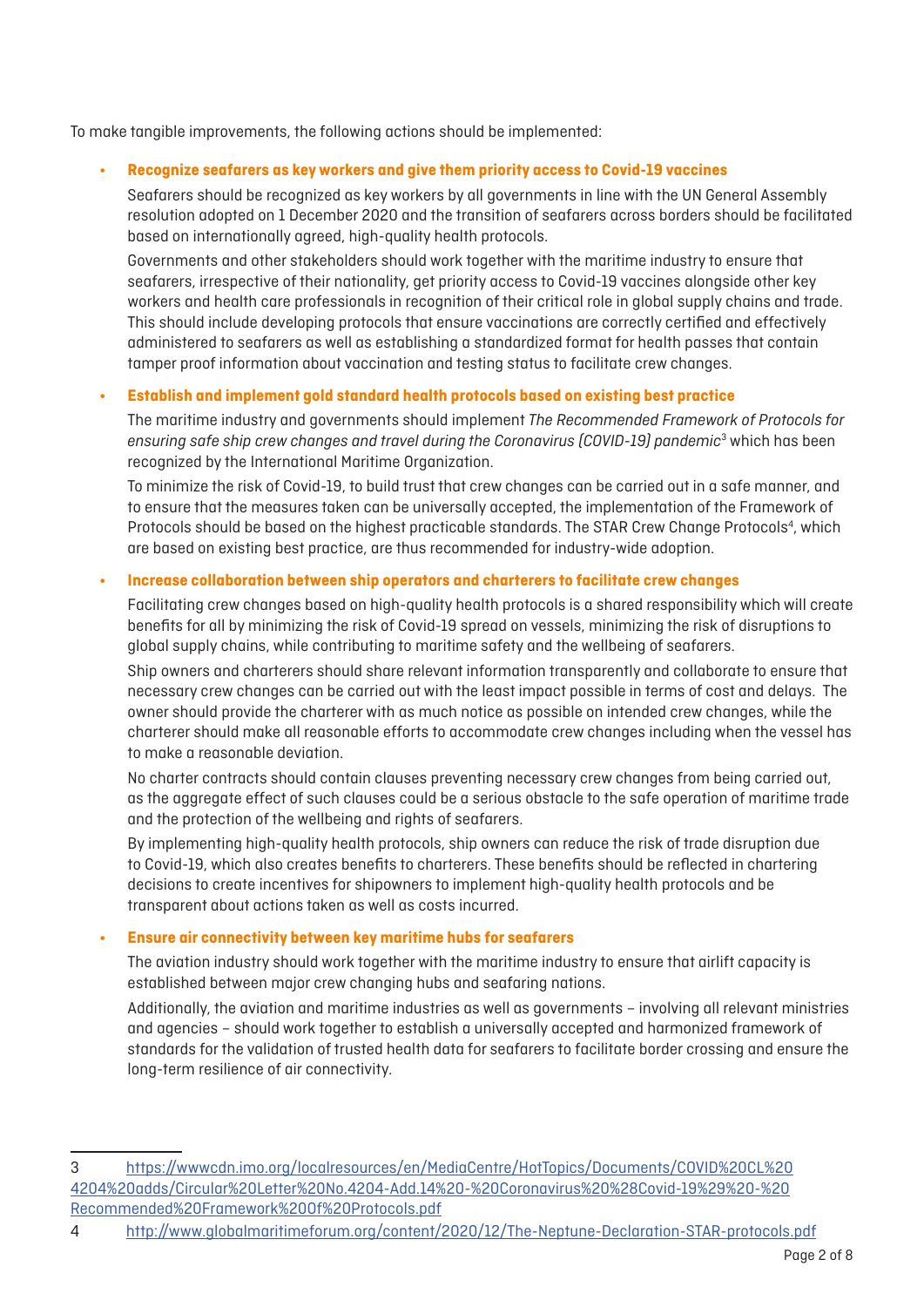To make tangible improvements, the following actions should be implemented:

#### **• Recognize seafarers as key workers and give them priority access to Covid-19 vaccines**

Seafarers should be recognized as key workers by all governments in line with the UN General Assembly resolution adopted on 1 December 2020 and the transition of seafarers across borders should be facilitated based on internationally agreed, high-quality health protocols.

Governments and other stakeholders should work together with the maritime industry to ensure that seafarers, irrespective of their nationality, get priority access to Covid-19 vaccines alongside other key workers and health care professionals in recognition of their critical role in global supply chains and trade. This should include developing protocols that ensure vaccinations are correctly certified and effectively administered to seafarers as well as establishing a standardized format for health passes that contain tamper proof information about vaccination and testing status to facilitate crew changes.

#### **• Establish and implement gold standard health protocols based on existing best practice**

The maritime industry and governments should implement *The Recommended Framework of Protocols for ensuring safe ship crew changes and travel during the Coronavirus (COVID-19) pandemic*<sup>3</sup> which has been recognized by the International Maritime Organization.

To minimize the risk of Covid-19, to build trust that crew changes can be carried out in a safe manner, and to ensure that the measures taken can be universally accepted, the implementation of the Framework of Protocols should be based on the highest practicable standards. The STAR Crew Change Protocols<sup>4</sup>, which are based on existing best practice, are thus recommended for industry-wide adoption.

#### **• Increase collaboration between ship operators and charterers to facilitate crew changes**

Facilitating crew changes based on high-quality health protocols is a shared responsibility which will create benefits for all by minimizing the risk of Covid-19 spread on vessels, minimizing the risk of disruptions to global supply chains, while contributing to maritime safety and the wellbeing of seafarers.

Ship owners and charterers should share relevant information transparently and collaborate to ensure that necessary crew changes can be carried out with the least impact possible in terms of cost and delays. The owner should provide the charterer with as much notice as possible on intended crew changes, while the charterer should make all reasonable efforts to accommodate crew changes including when the vessel has to make a reasonable deviation.

No charter contracts should contain clauses preventing necessary crew changes from being carried out, as the aggregate effect of such clauses could be a serious obstacle to the safe operation of maritime trade and the protection of the wellbeing and rights of seafarers.

By implementing high-quality health protocols, ship owners can reduce the risk of trade disruption due to Covid-19, which also creates benefits to charterers. These benefits should be reflected in chartering decisions to create incentives for shipowners to implement high-quality health protocols and be transparent about actions taken as well as costs incurred.

### **• Ensure air connectivity between key maritime hubs for seafarers**

The aviation industry should work together with the maritime industry to ensure that airlift capacity is established between major crew changing hubs and seafaring nations.

Additionally, the aviation and maritime industries as well as governments – involving all relevant ministries and agencies – should work together to establish a universally accepted and harmonized framework of standards for the validation of trusted health data for seafarers to facilitate border crossing and ensure the long-term resilience of air connectivity.

<sup>3</sup> [https://wwwcdn.imo.org/localresources/en/MediaCentre/HotTopics/Documents/COVID%20CL%20](https://wwwcdn.imo.org/localresources/en/MediaCentre/HotTopics/Documents/COVID%20CL%204204%20adds/Circular%20Letter%20No.4204-Add.14%20-%20Coronavirus%20%28Covid-19%29%20-%20Recommended%20Framework%20Of%20Protocols.pdf) [4204%20adds/Circular%20Letter%20No.4204-Add.14%20-%20Coronavirus%20%28Covid-19%29%20-%20](https://wwwcdn.imo.org/localresources/en/MediaCentre/HotTopics/Documents/COVID%20CL%204204%20adds/Circular%20Letter%20No.4204-Add.14%20-%20Coronavirus%20%28Covid-19%29%20-%20Recommended%20Framework%20Of%20Protocols.pdf) [Recommended%20Framework%20Of%20Protocols.pdf](https://wwwcdn.imo.org/localresources/en/MediaCentre/HotTopics/Documents/COVID%20CL%204204%20adds/Circular%20Letter%20No.4204-Add.14%20-%20Coronavirus%20%28Covid-19%29%20-%20Recommended%20Framework%20Of%20Protocols.pdf)

<sup>4</sup> <http://www.globalmaritimeforum.org/content/2020/12/The-Neptune-Declaration-STAR-protocols.pdf>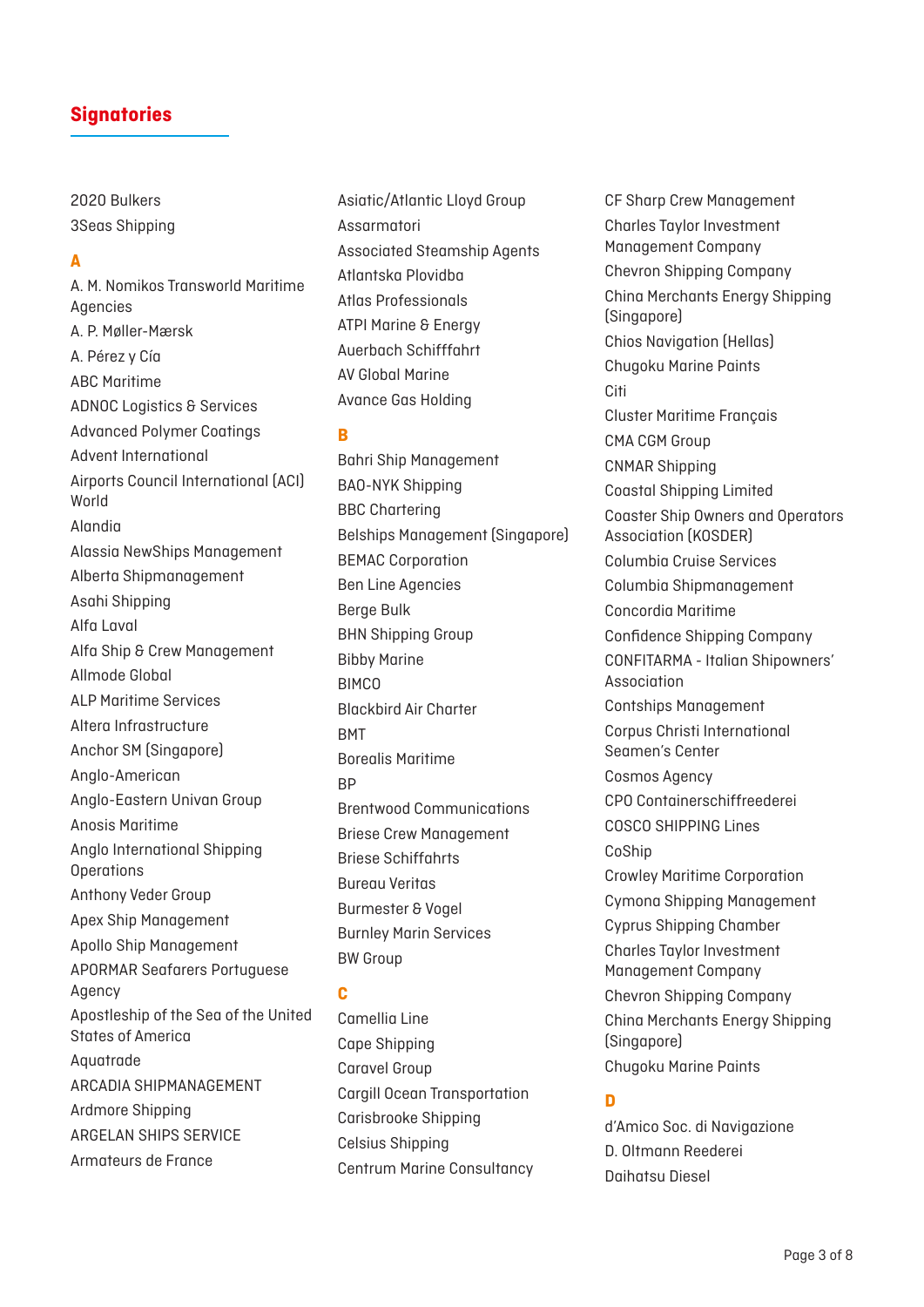2020 Bulkers 3Seas Shipping

#### **A**

A. M. Nomikos Transworld Maritime Agencies A. P. Møller-Mærsk A. Pérez y Cía ABC Maritime ADNOC Logistics & Services Advanced Polymer Coatings Advent International Airports Council International (ACI) World Alandia Alassia NewShips Management Alberta Shipmanagement Asahi Shipping Alfa Laval Alfa Ship & Crew Management Allmode Global ALP Maritime Services Altera Infrastructure Anchor SM (Singapore) Anglo-American Anglo-Eastern Univan Group Anosis Maritime Anglo International Shipping **Operations** Anthony Veder Group Apex Ship Management Apollo Ship Management APORMAR Seafarers Portuguese Agency Apostleship of the Sea of the United States of America Aquatrade ARCADIA SHIPMANAGEMENT Ardmore Shipping ARGELAN SHIPS SERVICE Armateurs de France

Asiatic/Atlantic Lloyd Group Assarmatori Associated Steamship Agents Atlantska Plovidba Atlas Professionals ATPI Marine & Energy Auerbach Schifffahrt AV Global Marine Avance Gas Holding

**B**

Bahri Ship Management BAO-NYK Shipping BBC Chartering Belships Management (Singapore) BEMAC Corporation Ben Line Agencies Berge Bulk BHN Shipping Group Bibby Marine **BIMCO** Blackbird Air Charter **RMT** Borealis Maritime R<sub>D</sub> Brentwood Communications Briese Crew Management Briese Schiffahrts Bureau Veritas Burmester & Vogel Burnley Marin Services BW Group

### **C**

Camellia Line Cape Shipping Caravel Group Cargill Ocean Transportation Carisbrooke Shipping Celsius Shipping Centrum Marine Consultancy CF Sharp Crew Management Charles Taylor Investment Management Company Chevron Shipping Company China Merchants Energy Shipping (Singapore) Chios Navigation (Hellas) Chugoku Marine Paints Citi Cluster Maritime Français CMA CGM Group CNMAR Shipping Coastal Shipping Limited Coaster Ship Owners and Operators Association (KOSDER) Columbia Cruise Services Columbia Shipmanagement Concordia Maritime Confidence Shipping Company CONFITARMA - Italian Shipowners' Association Contships Management Corpus Christi International Seamen's Center Cosmos Agency CPO Containerschiffreederei COSCO SHIPPING Lines CoShip Crowley Maritime Corporation Cymona Shipping Management Cyprus Shipping Chamber Charles Taylor Investment Management Company Chevron Shipping Company China Merchants Energy Shipping (Singapore) Chugoku Marine Paints

### **D**

d'Amico Soc. di Navigazione D. Oltmann Reederei Daihatsu Diesel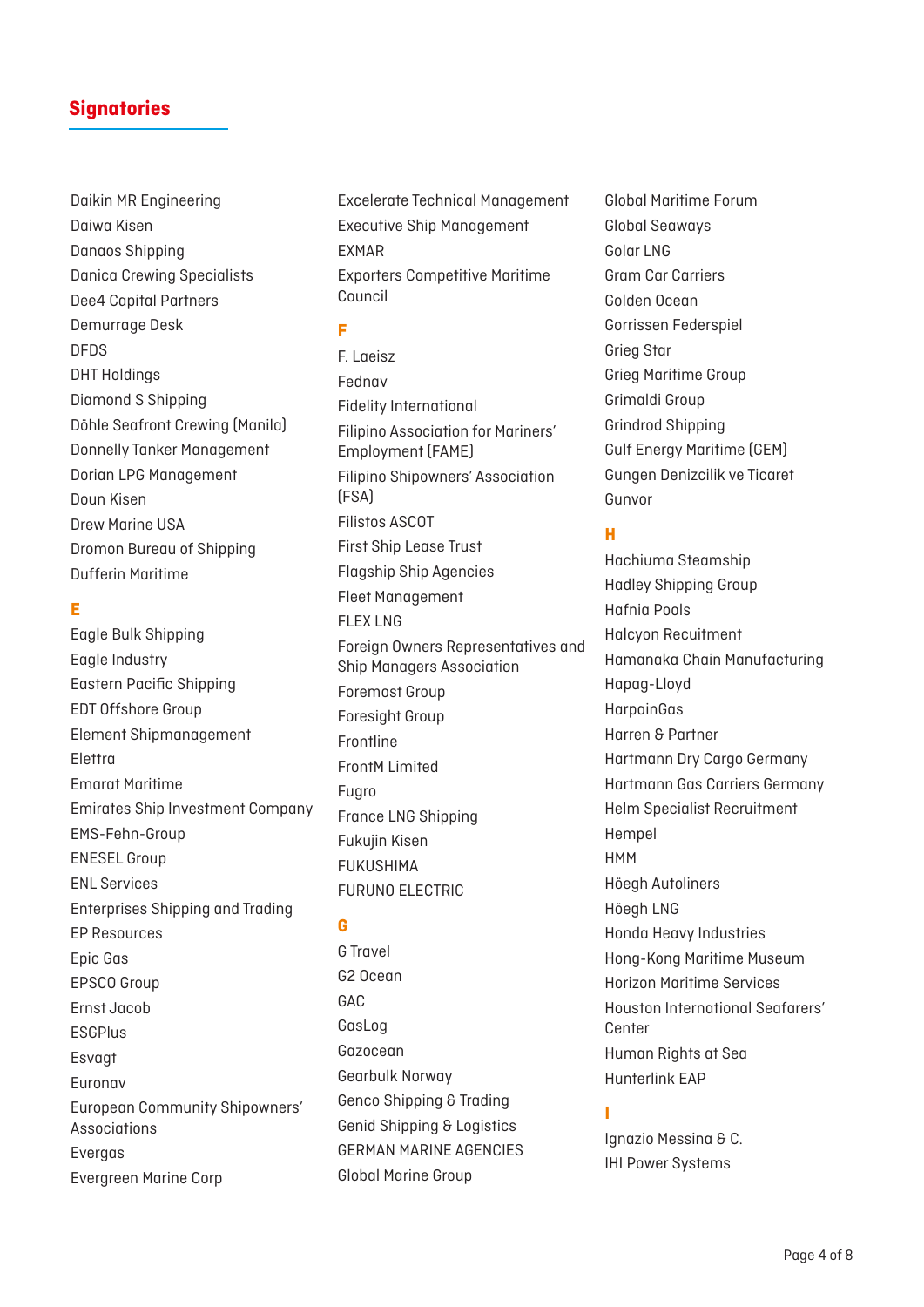Daikin MR Engineering Daiwa Kisen Danaos Shipping Danica Crewing Specialists Dee4 Capital Partners Demurrage Desk DFDS DHT Holdings Diamond S Shipping Döhle Seafront Crewing (Manila) Donnelly Tanker Management Dorian LPG Management Doun Kisen Drew Marine USA Dromon Bureau of Shipping Dufferin Maritime

## **E**

Eagle Bulk Shipping Eagle Industry Eastern Pacific Shipping EDT Offshore Group Element Shipmanagement Elettra Emarat Maritime Emirates Ship Investment Company EMS-Fehn-Group ENESEL Group ENL Services Enterprises Shipping and Trading EP Resources Epic Gas EPSCO Group Ernst Jacob **ESGPlus** Esvagt Euronav European Community Shipowners' Associations Evergas Evergreen Marine Corp

Excelerate Technical Management Executive Ship Management EXMAR Exporters Competitive Maritime Council

### **F**

F. Laeisz Fednav Fidelity International Filipino Association for Mariners' Employment (FAME) Filipino Shipowners' Association (FSA) Filistos ASCOT First Ship Lease Trust Flagship Ship Agencies Fleet Management FLEX LNG Foreign Owners Representatives and Ship Managers Association Foremost Group Foresight Group Frontline FrontM Limited Fugro France LNG Shipping Fukujin Kisen FUKUSHIMA FURUNO ELECTRIC

### **G**

G Travel G2 Ocean GAC GasLog Gazocean Gearbulk Norway Genco Shipping & Trading Genid Shipping & Logistics GERMAN MARINE AGENCIES Global Marine Group

Global Maritime Forum Global Seaways Golar LNG Gram Car Carriers Golden Ocean Gorrissen Federspiel Grieg Star Grieg Maritime Group Grimaldi Group Grindrod Shipping Gulf Energy Maritime (GEM) Gungen Denizcilik ve Ticaret Gunvor

### **H**

Hachiuma Steamship Hadley Shipping Group Hafnia Pools Halcyon Recuitment Hamanaka Chain Manufacturing Hapag-Lloyd HarpainGas Harren & Partner Hartmann Dry Cargo Germany Hartmann Gas Carriers Germany Helm Specialist Recruitment Hempel HMM Höegh Autoliners Höegh LNG Honda Heavy Industries Hong-Kong Maritime Museum Horizon Maritime Services Houston International Seafarers' **Center** Human Rights at Sea Hunterlink EAP

### **I**

Ignazio Messina & C. IHI Power Systems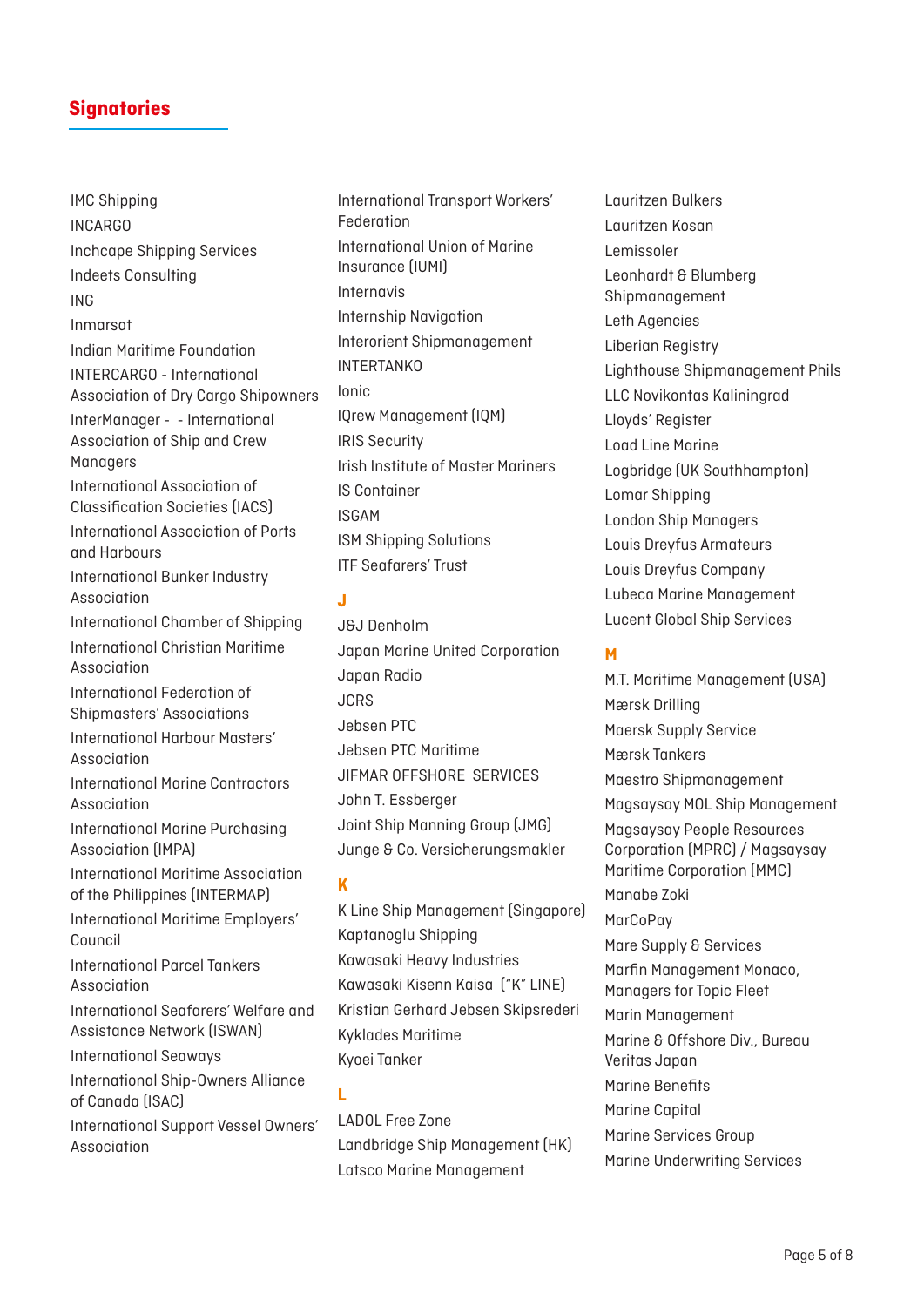IMC Shipping INCARGO Inchcape Shipping Services Indeets Consulting ING Inmarsat Indian Maritime Foundation INTERCARGO - International Association of Dry Cargo Shipowners InterManager - - International Association of Ship and Crew **Managers** International Association of Classification Societies (IACS) International Association of Ports and Harbours International Bunker Industry Association International Chamber of Shipping International Christian Maritime Association International Federation of Shipmasters' Associations International Harbour Masters' Association International Marine Contractors Association International Marine Purchasing Association (IMPA) International Maritime Association of the Philippines (INTERMAP) International Maritime Employers' Council International Parcel Tankers Association International Seafarers' Welfare and Assistance Network (ISWAN) International Seaways International Ship-Owners Alliance of Canada (ISAC) International Support Vessel Owners' Association

International Transport Workers' Federation International Union of Marine Insurance (IUMI) Internavis Internship Navigation Interorient Shipmanagement INTERTANKO Ionic IQrew Management (IQM) IRIS Security Irish Institute of Master Mariners IS Container ISGAM ISM Shipping Solutions ITF Seafarers' Trust

## **J**

J&J Denholm Japan Marine United Corporation Japan Radio **JCRS** Jebsen PTC Jebsen PTC Maritime JIFMAR OFFSHORE SERVICES John T. Essberger Joint Ship Manning Group (JMG) Junge & Co. Versicherungsmakler

**K**

K Line Ship Management (Singapore) Kaptanoglu Shipping Kawasaki Heavy Industries Kawasaki Kisenn Kaisa ("K" LINE) Kristian Gerhard Jebsen Skipsrederi Kyklades Maritime Kyoei Tanker

**L**

LADOL Free Zone Landbridge Ship Management (HK) Latsco Marine Management

Lauritzen Bulkers Lauritzen Kosan Lemissoler Leonhardt & Blumberg Shipmanagement Leth Agencies Liberian Registry Lighthouse Shipmanagement Phils LLC Novikontas Kaliningrad Lloyds' Register Load Line Marine Logbridge (UK Southhampton) Lomar Shipping London Ship Managers Louis Dreyfus Armateurs Louis Dreyfus Company Lubeca Marine Management Lucent Global Ship Services

## **M**

M.T. Maritime Management (USA) Mærsk Drilling Maersk Supply Service Mærsk Tankers Maestro Shipmanagement Magsaysay MOL Ship Management Magsaysay People Resources Corporation (MPRC) / Magsaysay Maritime Corporation (MMC) Manabe Zoki MarCoPay Mare Supply & Services Marfin Management Monaco, Managers for Topic Fleet Marin Management Marine & Offshore Div., Bureau Veritas Japan Marine Benefits Marine Capital Marine Services Group Marine Underwriting Services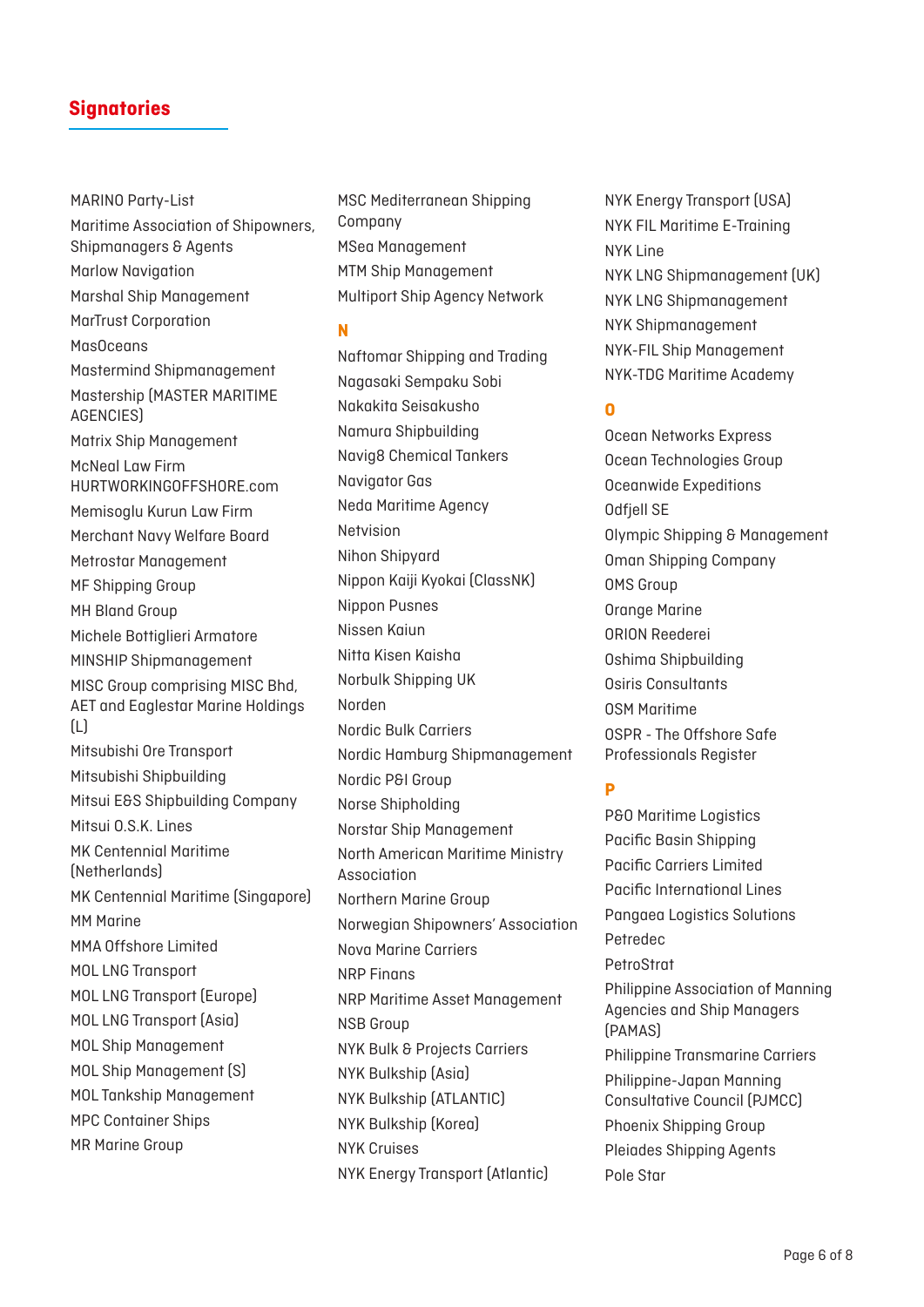MARINO Party-List Maritime Association of Shipowners, Shipmanagers & Agents Marlow Navigation Marshal Ship Management MarTrust Corporation MasOceans Mastermind Shipmanagement Mastership (MASTER MARITIME AGENCIES) Matrix Ship Management McNeal Law Firm HURTWORKINGOFFSHORE.com Memisoglu Kurun Law Firm Merchant Navy Welfare Board Metrostar Management MF Shipping Group MH Bland Group Michele Bottiglieri Armatore MINSHIP Shipmanagement MISC Group comprising MISC Bhd, AET and Eaglestar Marine Holdings (L) Mitsubishi Ore Transport Mitsubishi Shipbuilding Mitsui E&S Shipbuilding Company Mitsui O.S.K. Lines MK Centennial Maritime (Netherlands) MK Centennial Maritime (Singapore) MM Marine MMA Offshore Limited MOL LNG Transport MOL LNG Transport (Europe) MOL LNG Transport (Asia) MOL Ship Management MOL Ship Management (S) MOL Tankship Management MPC Container Ships MR Marine Group

MSC Mediterranean Shipping Company MSea Management MTM Ship Management Multiport Ship Agency Network

#### **N**

Naftomar Shipping and Trading Nagasaki Sempaku Sobi Nakakita Seisakusho Namura Shipbuilding Navig8 Chemical Tankers Navigator Gas Neda Maritime Agency Netvision Nihon Shipyard Nippon Kaiji Kyokai (ClassNK) Nippon Pusnes Nissen Kaiun Nitta Kisen Kaisha Norbulk Shipping UK Norden Nordic Bulk Carriers Nordic Hamburg Shipmanagement Nordic P&I Group Norse Shipholding Norstar Ship Management North American Maritime Ministry Association Northern Marine Group Norwegian Shipowners' Association Nova Marine Carriers NRP Finans NRP Maritime Asset Management NSB Group NYK Bulk & Projects Carriers NYK Bulkship (Asia) NYK Bulkship (ATLANTIC) NYK Bulkship (Korea) NYK Cruises NYK Energy Transport (Atlantic)

NYK Energy Transport (USA) NYK FIL Maritime E-Training NYK Line NYK LNG Shipmanagement (UK) NYK LNG Shipmanagement NYK Shipmanagement NYK-FIL Ship Management NYK-TDG Maritime Academy

### **O**

Ocean Networks Express Ocean Technologies Group Oceanwide Expeditions Odfjell SE Olympic Shipping & Management Oman Shipping Company OMS Group Orange Marine ORION Reederei Oshima Shipbuilding Osiris Consultants OSM Maritime OSPR - The Offshore Safe Professionals Register

# **P**

P&O Maritime Logistics Pacific Basin Shipping Pacific Carriers Limited Pacific International Lines Pangaea Logistics Solutions Petredec PetroStrat Philippine Association of Manning Agencies and Ship Managers (PAMAS) Philippine Transmarine Carriers Philippine-Japan Manning Consultative Council (PJMCC) Phoenix Shipping Group Pleiades Shipping Agents Pole Star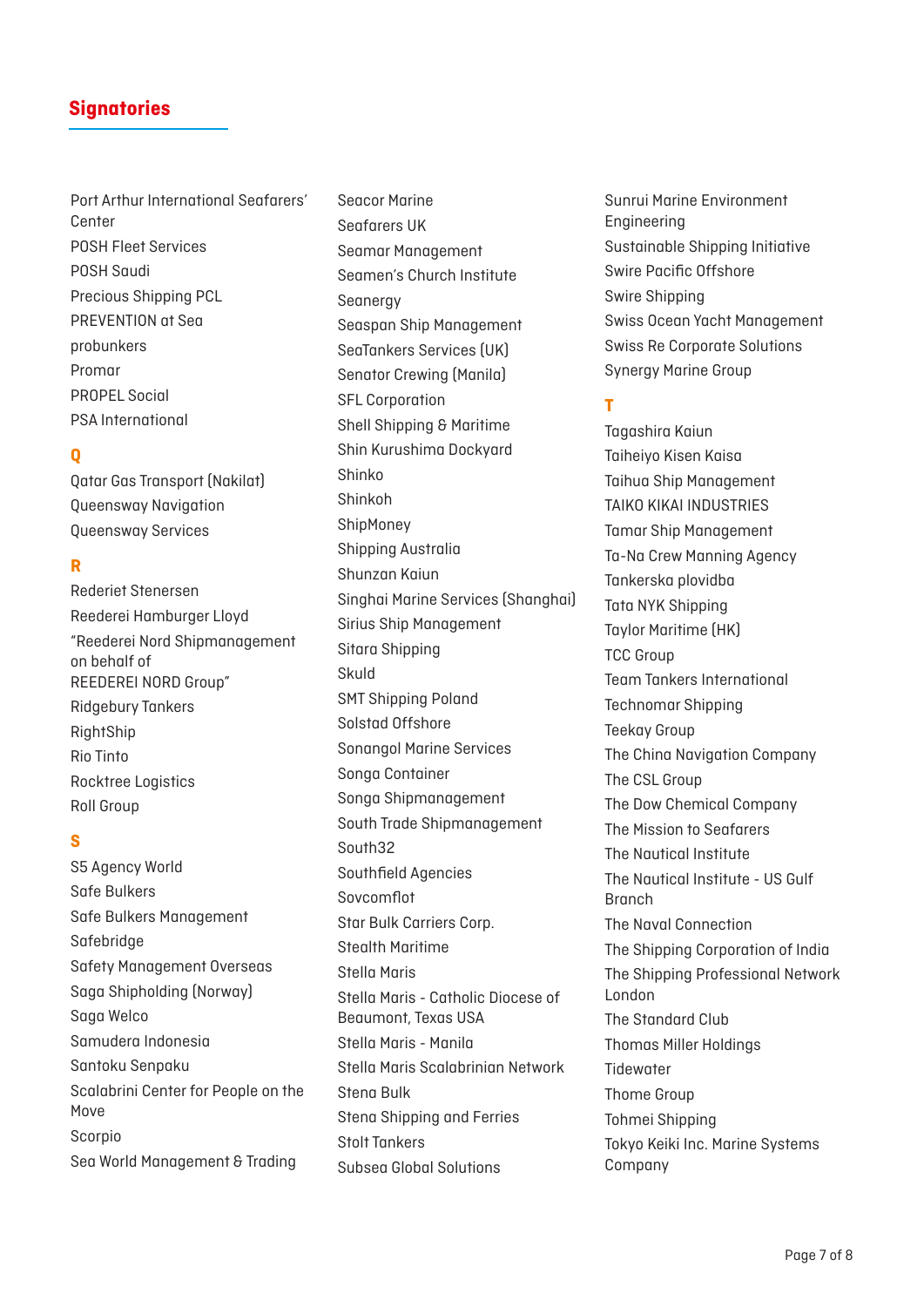Port Arthur International Seafarers' Center POSH Fleet Services POSH Saudi Precious Shipping PCL PREVENTION at Sea probunkers Promar PROPEL Social PSA International

### **Q**

Qatar Gas Transport (Nakilat) Queensway Navigation Queensway Services

### **R**

Rederiet Stenersen Reederei Hamburger Lloyd "Reederei Nord Shipmanagement on behalf of REEDEREI NORD Group" Ridgebury Tankers RightShip Rio Tinto Rocktree Logistics Roll Group

### **S**

S5 Agency World Safe Bulkers Safe Bulkers Management Safebridge Safety Management Overseas Saga Shipholding (Norway) Saga Welco Samudera Indonesia Santoku Senpaku Scalabrini Center for People on the Move Scorpio Sea World Management & Trading

Seacor Marine Seafarers UK Seamar Management Seamen's Church Institute **Seanergy** Seaspan Ship Management SeaTankers Services (UK) Senator Crewing (Manila) SFL Corporation Shell Shipping & Maritime Shin Kurushima Dockyard Shinko Shinkoh **ShipMonev** Shipping Australia Shunzan Kaiun Singhai Marine Services (Shanghai) Sirius Ship Management Sitara Shipping Skuld SMT Shipping Poland Solstad Offshore Sonangol Marine Services Songa Container Songa Shipmanagement South Trade Shipmanagement South32 Southfield Agencies Sovcomflot Star Bulk Carriers Corp. Stealth Maritime Stella Maris Stella Maris - Catholic Diocese of Beaumont, Texas USA Stella Maris - Manila Stella Maris Scalabrinian Network Stena Bulk Stena Shipping and Ferries Stolt Tankers Subsea Global Solutions

Sunrui Marine Environment Engineering Sustainable Shipping Initiative Swire Pacific Offshore Swire Shipping Swiss Ocean Yacht Management Swiss Re Corporate Solutions Synergy Marine Group

## **T**

Tagashira Kaiun Taiheiyo Kisen Kaisa Taihua Ship Management TAIKO KIKAI INDUSTRIES Tamar Ship Management Ta-Na Crew Manning Agency Tankerska plovidba Tata NYK Shipping Taylor Maritime (HK) TCC Group Team Tankers International Technomar Shipping Teekay Group The China Navigation Company The CSL Group The Dow Chemical Company The Mission to Seafarers The Nautical Institute The Nautical Institute - US Gulf Branch The Naval Connection The Shipping Corporation of India The Shipping Professional Network London The Standard Club Thomas Miller Holdings **Tidewater** Thome Group Tohmei Shipping Tokyo Keiki Inc. Marine Systems Company